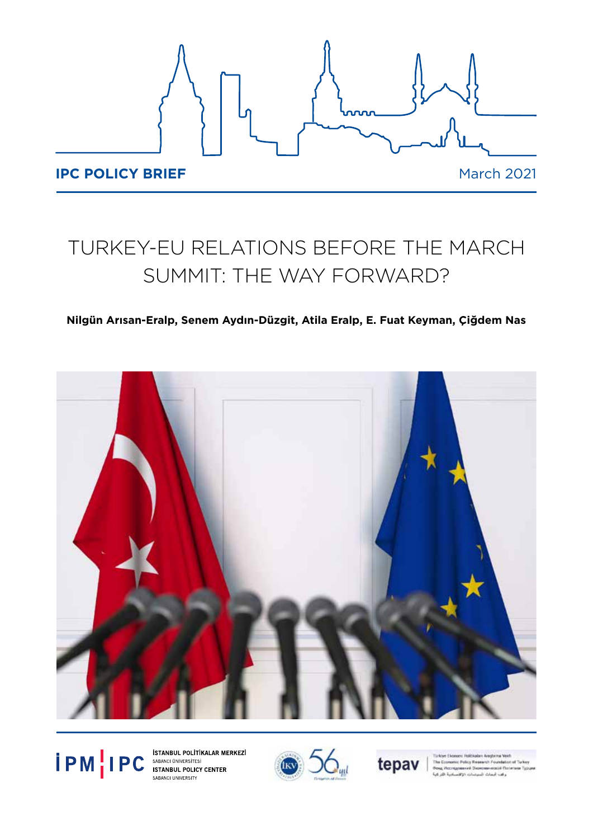

# TURKEY-EU RELATIONS BEFORE THE MARCH SUMMIT: THE WAY FORWARD?

## **Nilgün Arısan-Eralp, Senem Aydın-Düzgit, Atila Eralp, E. Fuat Keyman, Çiğdem Nas**



**PM PC** SABANCI UNIVERSITESI STANBUL POLITIKALAR MERKEZI<br>
STANBUL POLICY CENTER<br>
SABANCI UNIVERSITY SABANCI UNIVERSITY



tepav

stic Policy Research Four anek Se in We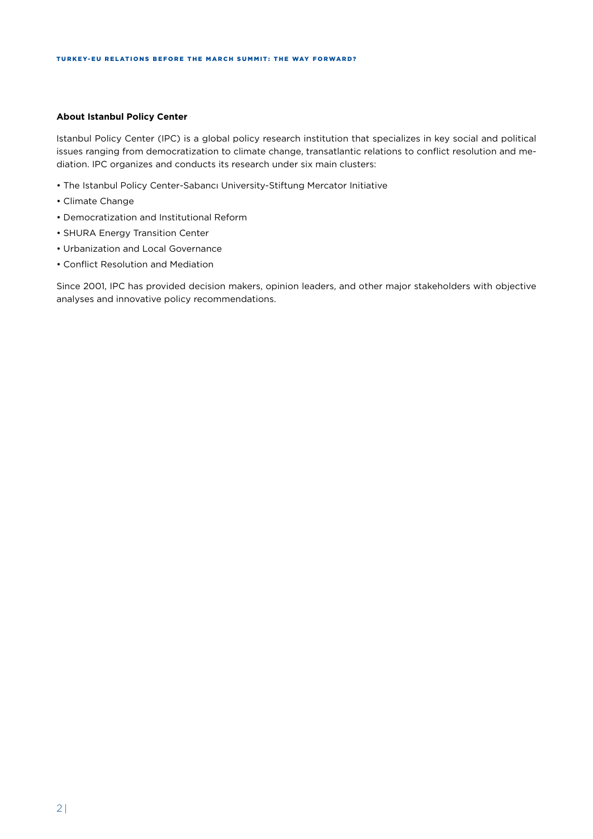#### **About Istanbul Policy Center**

Istanbul Policy Center (IPC) is a global policy research institution that specializes in key social and political issues ranging from democratization to climate change, transatlantic relations to conflict resolution and mediation. IPC organizes and conducts its research under six main clusters:

- The Istanbul Policy Center-Sabancı University-Stiftung Mercator Initiative
- Climate Change
- Democratization and Institutional Reform
- SHURA Energy Transition Center
- Urbanization and Local Governance
- Conflict Resolution and Mediation

Since 2001, IPC has provided decision makers, opinion leaders, and other major stakeholders with objective analyses and innovative policy recommendations.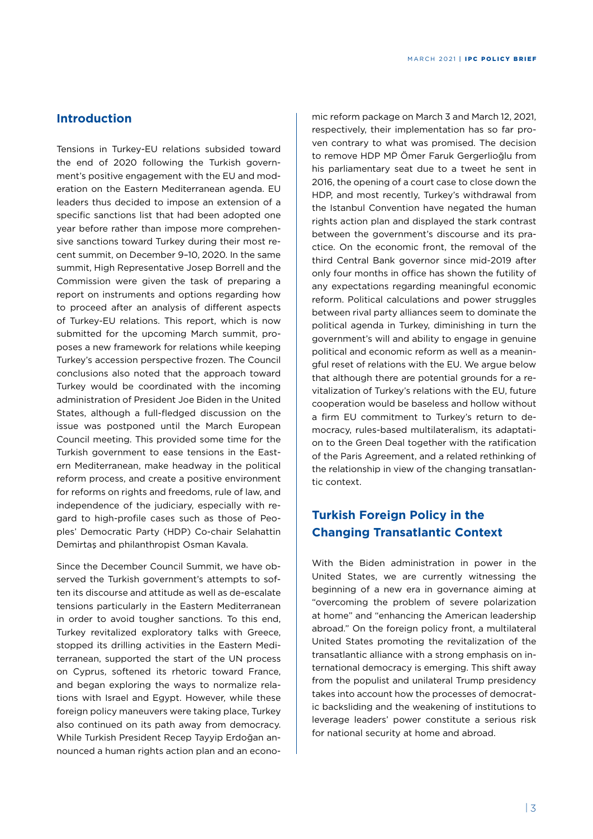## **Introduction**

Tensions in Turkey-EU relations subsided toward the end of 2020 following the Turkish government's positive engagement with the EU and moderation on the Eastern Mediterranean agenda. EU leaders thus decided to impose an extension of a specific sanctions list that had been adopted one year before rather than impose more comprehensive sanctions toward Turkey during their most recent summit, on December 9–10, 2020. In the same summit, High Representative Josep Borrell and the Commission were given the task of preparing a report on instruments and options regarding how to proceed after an analysis of different aspects of Turkey-EU relations. This report, which is now submitted for the upcoming March summit, proposes a new framework for relations while keeping Turkey's accession perspective frozen. The Council conclusions also noted that the approach toward Turkey would be coordinated with the incoming administration of President Joe Biden in the United States, although a full-fledged discussion on the issue was postponed until the March European Council meeting. This provided some time for the Turkish government to ease tensions in the Eastern Mediterranean, make headway in the political reform process, and create a positive environment for reforms on rights and freedoms, rule of law, and independence of the judiciary, especially with regard to high-profile cases such as those of Peoples' Democratic Party (HDP) Co-chair Selahattin Demirtaş and philanthropist Osman Kavala.

Since the December Council Summit, we have observed the Turkish government's attempts to soften its discourse and attitude as well as de-escalate tensions particularly in the Eastern Mediterranean in order to avoid tougher sanctions. To this end, Turkey revitalized exploratory talks with Greece, stopped its drilling activities in the Eastern Mediterranean, supported the start of the UN process on Cyprus, softened its rhetoric toward France, and began exploring the ways to normalize relations with Israel and Egypt. However, while these foreign policy maneuvers were taking place, Turkey also continued on its path away from democracy. While Turkish President Recep Tayyip Erdoğan announced a human rights action plan and an econo-

mic reform package on March 3 and March 12, 2021, respectively, their implementation has so far proven contrary to what was promised. The decision to remove HDP MP Ömer Faruk Gergerlioğlu from his parliamentary seat due to a tweet he sent in 2016, the opening of a court case to close down the HDP, and most recently, Turkey's withdrawal from the Istanbul Convention have negated the human rights action plan and displayed the stark contrast between the government's discourse and its practice. On the economic front, the removal of the third Central Bank governor since mid-2019 after only four months in office has shown the futility of any expectations regarding meaningful economic reform. Political calculations and power struggles between rival party alliances seem to dominate the political agenda in Turkey, diminishing in turn the government's will and ability to engage in genuine political and economic reform as well as a meaningful reset of relations with the EU. We argue below that although there are potential grounds for a revitalization of Turkey's relations with the EU, future cooperation would be baseless and hollow without a firm EU commitment to Turkey's return to democracy, rules-based multilateralism, its adaptation to the Green Deal together with the ratification of the Paris Agreement, and a related rethinking of the relationship in view of the changing transatlantic context.

# **Turkish Foreign Policy in the Changing Transatlantic Context**

With the Biden administration in power in the United States, we are currently witnessing the beginning of a new era in governance aiming at "overcoming the problem of severe polarization at home" and "enhancing the American leadership abroad." On the foreign policy front, a multilateral United States promoting the revitalization of the transatlantic alliance with a strong emphasis on international democracy is emerging. This shift away from the populist and unilateral Trump presidency takes into account how the processes of democratic backsliding and the weakening of institutions to leverage leaders' power constitute a serious risk for national security at home and abroad.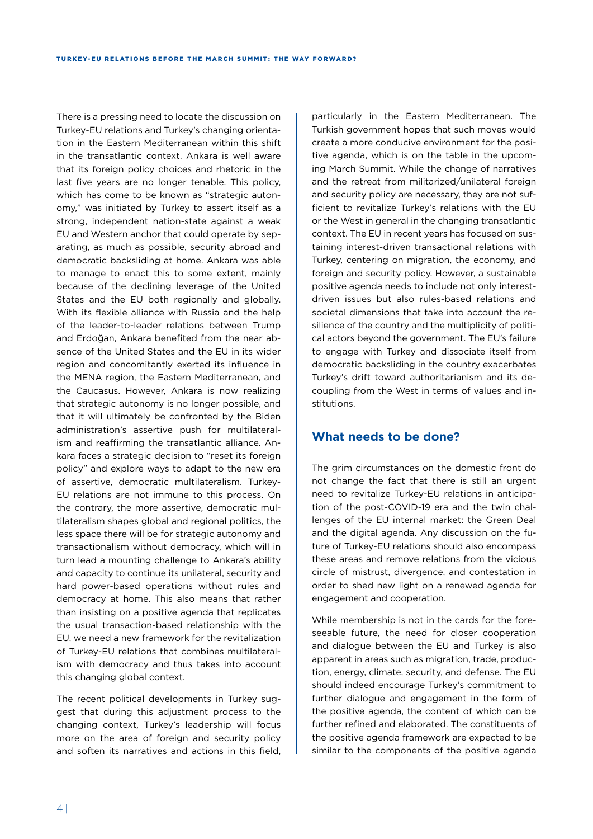There is a pressing need to locate the discussion on Turkey-EU relations and Turkey's changing orientation in the Eastern Mediterranean within this shift in the transatlantic context. Ankara is well aware that its foreign policy choices and rhetoric in the last five years are no longer tenable. This policy, which has come to be known as "strategic autonomy," was initiated by Turkey to assert itself as a strong, independent nation-state against a weak EU and Western anchor that could operate by separating, as much as possible, security abroad and democratic backsliding at home. Ankara was able to manage to enact this to some extent, mainly because of the declining leverage of the United States and the EU both regionally and globally. With its flexible alliance with Russia and the help of the leader-to-leader relations between Trump and Erdoğan, Ankara benefited from the near absence of the United States and the EU in its wider region and concomitantly exerted its influence in the MENA region, the Eastern Mediterranean, and the Caucasus. However, Ankara is now realizing that strategic autonomy is no longer possible, and that it will ultimately be confronted by the Biden administration's assertive push for multilateralism and reaffirming the transatlantic alliance. Ankara faces a strategic decision to "reset its foreign policy" and explore ways to adapt to the new era of assertive, democratic multilateralism. Turkey-EU relations are not immune to this process. On the contrary, the more assertive, democratic multilateralism shapes global and regional politics, the less space there will be for strategic autonomy and transactionalism without democracy, which will in turn lead a mounting challenge to Ankara's ability and capacity to continue its unilateral, security and hard power-based operations without rules and democracy at home. This also means that rather than insisting on a positive agenda that replicates the usual transaction-based relationship with the EU, we need a new framework for the revitalization of Turkey-EU relations that combines multilateralism with democracy and thus takes into account this changing global context.

The recent political developments in Turkey suggest that during this adjustment process to the changing context, Turkey's leadership will focus more on the area of foreign and security policy and soften its narratives and actions in this field,

particularly in the Eastern Mediterranean. The Turkish government hopes that such moves would create a more conducive environment for the positive agenda, which is on the table in the upcoming March Summit. While the change of narratives and the retreat from militarized/unilateral foreign and security policy are necessary, they are not sufficient to revitalize Turkey's relations with the EU or the West in general in the changing transatlantic context. The EU in recent years has focused on sustaining interest-driven transactional relations with Turkey, centering on migration, the economy, and foreign and security policy. However, a sustainable positive agenda needs to include not only interestdriven issues but also rules-based relations and societal dimensions that take into account the resilience of the country and the multiplicity of political actors beyond the government. The EU's failure to engage with Turkey and dissociate itself from democratic backsliding in the country exacerbates Turkey's drift toward authoritarianism and its decoupling from the West in terms of values and institutions.

## **What needs to be done?**

The grim circumstances on the domestic front do not change the fact that there is still an urgent need to revitalize Turkey-EU relations in anticipation of the post-COVID-19 era and the twin challenges of the EU internal market: the Green Deal and the digital agenda. Any discussion on the future of Turkey-EU relations should also encompass these areas and remove relations from the vicious circle of mistrust, divergence, and contestation in order to shed new light on a renewed agenda for engagement and cooperation.

While membership is not in the cards for the foreseeable future, the need for closer cooperation and dialogue between the EU and Turkey is also apparent in areas such as migration, trade, production, energy, climate, security, and defense. The EU should indeed encourage Turkey's commitment to further dialogue and engagement in the form of the positive agenda, the content of which can be further refined and elaborated. The constituents of the positive agenda framework are expected to be similar to the components of the positive agenda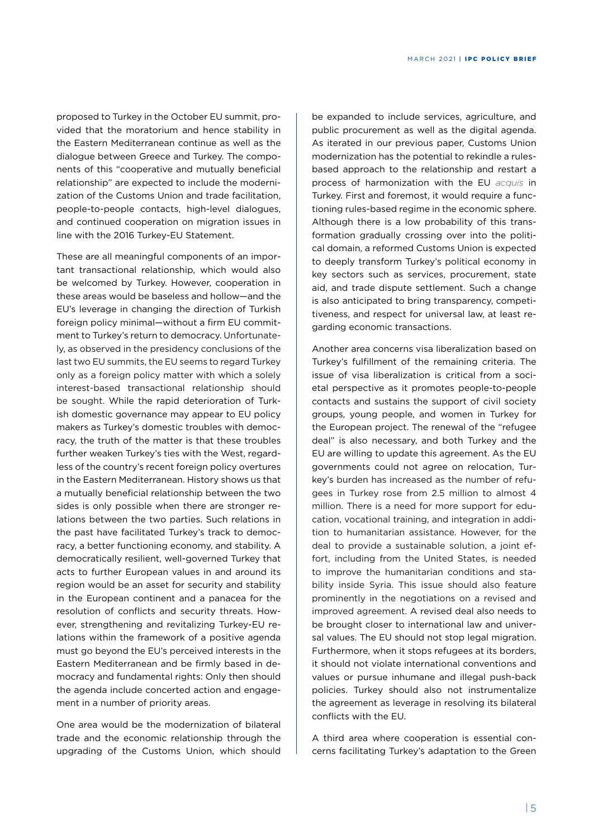proposed to Turkey in the October EU summit, provided that the moratorium and hence stability in the Eastern Mediterranean continue as well as the dialogue between Greece and Turkey. The components of this "cooperative and mutually beneficial relationship" are expected to include the modernization of the Customs Union and trade facilitation, people-to-people contacts, high-level dialogues, and continued cooperation on migration issues in line with the 2016 Turkey-EU Statement.

These are all meaningful components of an important transactional relationship, which would also be welcomed by Turkey. However, cooperation in these areas would be baseless and hollow—and the EU's leverage in changing the direction of Turkish foreign policy minimal—without a firm EU commitment to Turkey's return to democracy. Unfortunately, as observed in the presidency conclusions of the last two EU summits, the EU seems to regard Turkey only as a foreign policy matter with which a solely interest-based transactional relationship should be sought. While the rapid deterioration of Turkish domestic governance may appear to EU policy makers as Turkey's domestic troubles with democracy, the truth of the matter is that these troubles further weaken Turkey's ties with the West, regardless of the country's recent foreign policy overtures in the Eastern Mediterranean. History shows us that a mutually beneficial relationship between the two sides is only possible when there are stronger relations between the two parties. Such relations in the past have facilitated Turkey's track to democracy, a better functioning economy, and stability. A democratically resilient, well-governed Turkey that acts to further European values in and around its region would be an asset for security and stability in the European continent and a panacea for the resolution of conflicts and security threats. However, strengthening and revitalizing Turkey-EU relations within the framework of a positive agenda must go beyond the EU's perceived interests in the Eastern Mediterranean and be firmly based in democracy and fundamental rights: Only then should the agenda include concerted action and engagement in a number of priority areas.

One area would be the modernization of bilateral trade and the economic relationship through the upgrading of the Customs Union, which should

be expanded to include services, agriculture, and public procurement as well as the digital agenda. As iterated in our previous paper, Customs Union modernization has the potential to rekindle a rulesbased approach to the relationship and restart a process of harmonization with the EU *acquis* in Turkey. First and foremost, it would require a functioning rules-based regime in the economic sphere. Although there is a low probability of this transformation gradually crossing over into the political domain, a reformed Customs Union is expected to deeply transform Turkey's political economy in key sectors such as services, procurement, state aid, and trade dispute settlement. Such a change is also anticipated to bring transparency, competitiveness, and respect for universal law, at least regarding economic transactions.

Another area concerns visa liberalization based on Turkey's fulfillment of the remaining criteria. The issue of visa liberalization is critical from a societal perspective as it promotes people-to-people contacts and sustains the support of civil society groups, young people, and women in Turkey for the European project. The renewal of the "refugee deal" is also necessary, and both Turkey and the EU are willing to update this agreement. As the EU governments could not agree on relocation, Turkey's burden has increased as the number of refugees in Turkey rose from 2.5 million to almost 4 million. There is a need for more support for education, vocational training, and integration in addition to humanitarian assistance. However, for the deal to provide a sustainable solution, a joint effort, including from the United States, is needed to improve the humanitarian conditions and stability inside Syria. This issue should also feature prominently in the negotiations on a revised and improved agreement. A revised deal also needs to be brought closer to international law and universal values. The EU should not stop legal migration. Furthermore, when it stops refugees at its borders, it should not violate international conventions and values or pursue inhumane and illegal push-back policies. Turkey should also not instrumentalize the agreement as leverage in resolving its bilateral conflicts with the EU.

A third area where cooperation is essential concerns facilitating Turkey's adaptation to the Green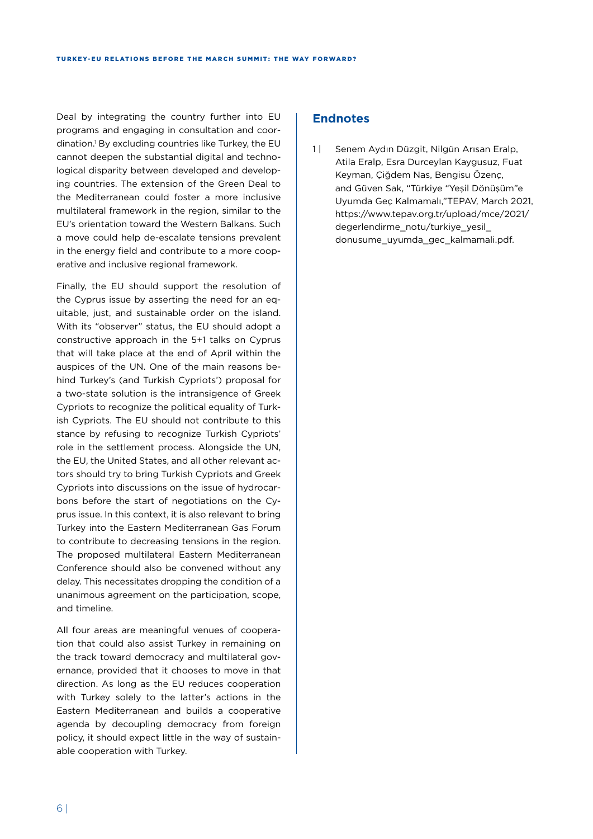Deal by integrating the country further into EU programs and engaging in consultation and coordination.1 By excluding countries like Turkey, the EU cannot deepen the substantial digital and technological disparity between developed and developing countries. The extension of the Green Deal to the Mediterranean could foster a more inclusive multilateral framework in the region, similar to the EU's orientation toward the Western Balkans. Such a move could help de-escalate tensions prevalent in the energy field and contribute to a more cooperative and inclusive regional framework.

Finally, the EU should support the resolution of the Cyprus issue by asserting the need for an equitable, just, and sustainable order on the island. With its "observer" status, the EU should adopt a constructive approach in the 5+1 talks on Cyprus that will take place at the end of April within the auspices of the UN. One of the main reasons behind Turkey's (and Turkish Cypriots') proposal for a two-state solution is the intransigence of Greek Cypriots to recognize the political equality of Turkish Cypriots. The EU should not contribute to this stance by refusing to recognize Turkish Cypriots' role in the settlement process. Alongside the UN, the EU, the United States, and all other relevant actors should try to bring Turkish Cypriots and Greek Cypriots into discussions on the issue of hydrocarbons before the start of negotiations on the Cyprus issue. In this context, it is also relevant to bring Turkey into the Eastern Mediterranean Gas Forum to contribute to decreasing tensions in the region. The proposed multilateral Eastern Mediterranean Conference should also be convened without any delay. This necessitates dropping the condition of a unanimous agreement on the participation, scope, and timeline.

All four areas are meaningful venues of cooperation that could also assist Turkey in remaining on the track toward democracy and multilateral governance, provided that it chooses to move in that direction. As long as the EU reduces cooperation with Turkey solely to the latter's actions in the Eastern Mediterranean and builds a cooperative agenda by decoupling democracy from foreign policy, it should expect little in the way of sustainable cooperation with Turkey.

### **Endnotes**

1 | Senem Aydın Düzgit, Nilgün Arısan Eralp, Atila Eralp, Esra Durceylan Kaygusuz, Fuat Keyman, Çiğdem Nas, Bengisu Özenç, and Güven Sak, "Türkiye "Yeşil Dönüşüm"e Uyumda Geç Kalmamalı,"TEPAV, March 2021, https://www.tepav.org.tr/upload/mce/2021/ degerlendirme\_notu/turkiye\_yesil\_ donusume\_uyumda\_gec\_kalmamali.pdf.